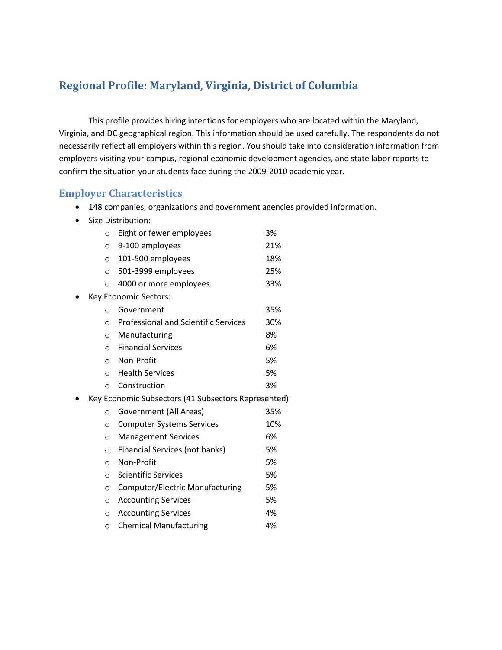# **Regional Profile: Maryland, Virginia, District of Columbia**

This profile provides hiring intentions for employers who are located within the Maryland, Virginia, and DC geographical region. This information should be used carefully. The respondents do not necessarily reflect all employers within this region. You should take into consideration information from employers visiting your campus, regional economic development agencies, and state labor reports to confirm the situation your students face during the 2009-2010 academic year.

#### **Employer Characteristics**

- 148 companies, organizations and government agencies provided information.
- Size Distribution:

| $\circ$ | Eight or fewer employees                             | 3%  |
|---------|------------------------------------------------------|-----|
| $\circ$ | 9-100 employees                                      | 21% |
| $\circ$ | 101-500 employees                                    | 18% |
| $\circ$ | 501-3999 employees                                   | 25% |
| $\circ$ | 4000 or more employees                               | 33% |
|         | Key Economic Sectors:                                |     |
| O       | Government                                           | 35% |
| $\circ$ | <b>Professional and Scientific Services</b>          | 30% |
| $\circ$ | Manufacturing                                        | 8%  |
| $\circ$ | <b>Financial Services</b>                            | 6%  |
| $\circ$ | Non-Profit                                           | 5%  |
| $\circ$ | <b>Health Services</b>                               | 5%  |
| $\circ$ | Construction                                         | 3%  |
|         | Key Economic Subsectors (41 Subsectors Represented): |     |
| O       | Government (All Areas)                               | 35% |
| $\circ$ | <b>Computer Systems Services</b>                     | 10% |
| $\circ$ | <b>Management Services</b>                           | 6%  |
| $\circ$ | Financial Services (not banks)                       | 5%  |
| $\circ$ | Non-Profit                                           | 5%  |
| $\circ$ | <b>Scientific Services</b>                           | 5%  |
| $\circ$ | Computer/Electric Manufacturing                      | 5%  |
| $\circ$ | <b>Accounting Services</b>                           | 5%  |
| $\circ$ | <b>Accounting Services</b>                           | 4%  |
|         |                                                      |     |

o Chemical Manufacturing 4%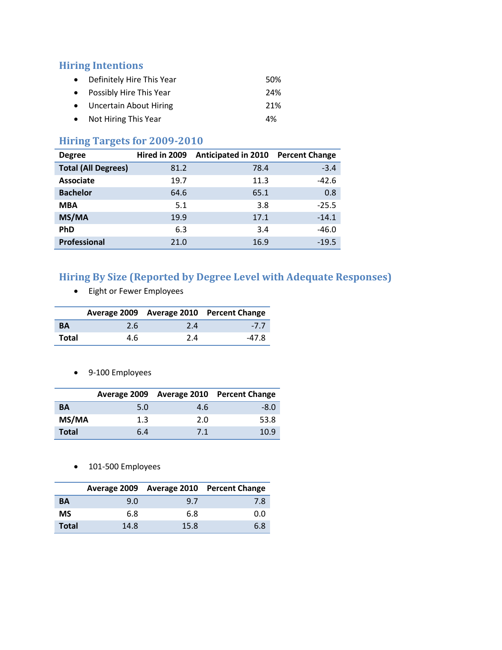#### **Hiring Intentions**

- Definitely Hire This Year 60% • Possibly Hire This Year 24% Uncertain About Hiring 21%
- Not Hiring This Year 4%

### **Hiring Targets for 2009-2010**

| <b>Degree</b>              | Hired in 2009 | <b>Anticipated in 2010</b> | <b>Percent Change</b> |
|----------------------------|---------------|----------------------------|-----------------------|
| <b>Total (All Degrees)</b> | 81.2          | 78.4                       | $-3.4$                |
| <b>Associate</b>           | 19.7          | 11.3                       | $-42.6$               |
| <b>Bachelor</b>            | 64.6          | 65.1                       | 0.8                   |
| <b>MBA</b>                 | 5.1           | 3.8                        | $-25.5$               |
| MS/MA                      | 19.9          | 17.1                       | $-14.1$               |
| <b>PhD</b>                 | 6.3           | 3.4                        | $-46.0$               |
| <b>Professional</b>        | 21.0          | 16.9                       | $-19.5$               |

## **Hiring By Size (Reported by Degree Level with Adequate Responses)**

Eight or Fewer Employees

|           |     |     | Average 2009 Average 2010 Percent Change |
|-----------|-----|-----|------------------------------------------|
| <b>BA</b> | 2.6 | 2.4 | $-7.7$                                   |
| Total     | 4.6 | 2.4 | -47.8                                    |

9-100 Employees

|              |     |     | Average 2009 Average 2010 Percent Change |
|--------------|-----|-----|------------------------------------------|
| BA           | 5.0 | 4.6 | $-8.0$                                   |
| MS/MA        | 1.3 | 2.0 | 53.8                                     |
| <b>Total</b> | 6.4 | 7.1 | 10.9                                     |

• 101-500 Employees

|              |      |      | Average 2009 Average 2010 Percent Change |
|--------------|------|------|------------------------------------------|
| BA           | 9.0  | 9.7  | 7.8                                      |
| <b>MS</b>    | 6.8  | 6.8  | 0.0                                      |
| <b>Total</b> | 14.8 | 15.8 | 6.8                                      |